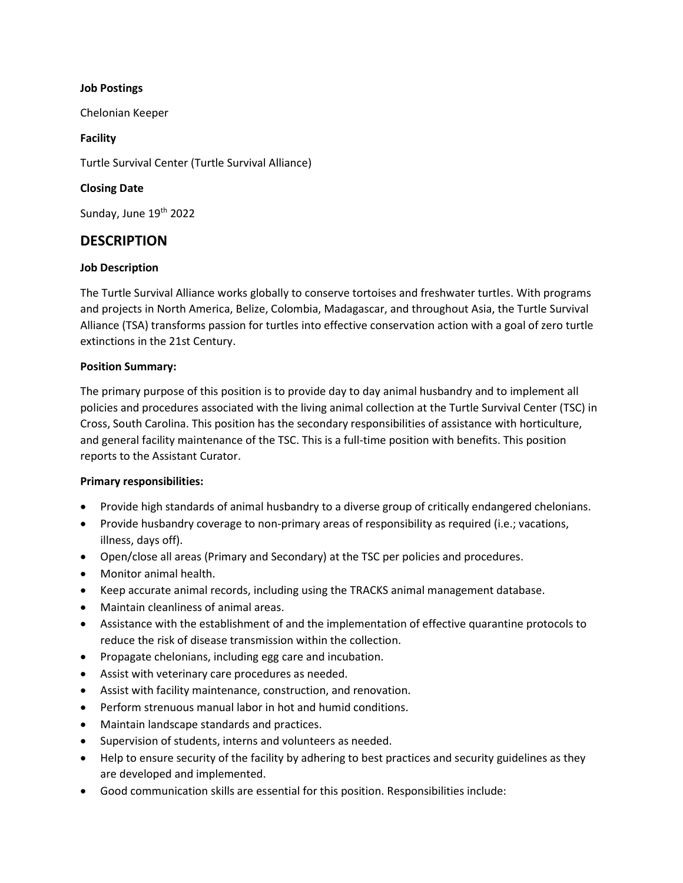#### Job Postings

Chelonian Keeper

#### Facility

Turtle Survival Center (Turtle Survival Alliance)

### Closing Date

Sunday, June 19<sup>th</sup> 2022

# **DESCRIPTION**

#### Job Description

The Turtle Survival Alliance works globally to conserve tortoises and freshwater turtles. With programs and projects in North America, Belize, Colombia, Madagascar, and throughout Asia, the Turtle Survival Alliance (TSA) transforms passion for turtles into effective conservation action with a goal of zero turtle extinctions in the 21st Century.

#### Position Summary:

The primary purpose of this position is to provide day to day animal husbandry and to implement all policies and procedures associated with the living animal collection at the Turtle Survival Center (TSC) in Cross, South Carolina. This position has the secondary responsibilities of assistance with horticulture, and general facility maintenance of the TSC. This is a full-time position with benefits. This position reports to the Assistant Curator.

#### Primary responsibilities:

- Provide high standards of animal husbandry to a diverse group of critically endangered chelonians.
- Provide husbandry coverage to non-primary areas of responsibility as required (i.e.; vacations, illness, days off).
- Open/close all areas (Primary and Secondary) at the TSC per policies and procedures.
- Monitor animal health.
- Keep accurate animal records, including using the TRACKS animal management database.
- Maintain cleanliness of animal areas.
- Assistance with the establishment of and the implementation of effective quarantine protocols to reduce the risk of disease transmission within the collection.
- Propagate chelonians, including egg care and incubation.
- Assist with veterinary care procedures as needed.
- Assist with facility maintenance, construction, and renovation.
- Perform strenuous manual labor in hot and humid conditions.
- Maintain landscape standards and practices.
- Supervision of students, interns and volunteers as needed.
- Help to ensure security of the facility by adhering to best practices and security guidelines as they are developed and implemented.
- Good communication skills are essential for this position. Responsibilities include: